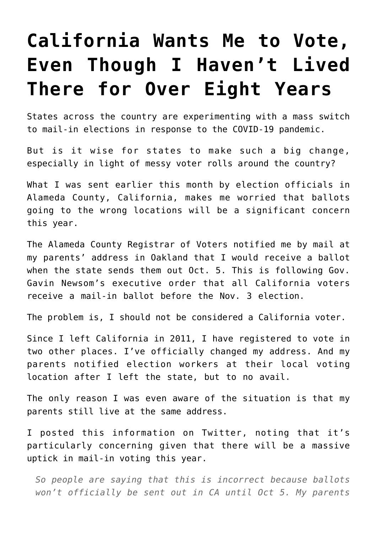## **[California Wants Me to Vote,](https://intellectualtakeout.org/2020/09/california-wants-me-to-vote-even-though-i-havent-lived-there-for-over-eight-years/) [Even Though I Haven't Lived](https://intellectualtakeout.org/2020/09/california-wants-me-to-vote-even-though-i-havent-lived-there-for-over-eight-years/) [There for Over Eight Years](https://intellectualtakeout.org/2020/09/california-wants-me-to-vote-even-though-i-havent-lived-there-for-over-eight-years/)**

States across the country are experimenting with a mass switch to mail-in elections in response to the COVID-19 pandemic.

But is it wise for states to make such a big change, especially in light of messy voter rolls around the country?

What I was sent earlier this month by election officials in Alameda County, California, makes me worried that ballots going to the wrong locations will be a significant concern this year.

The Alameda County Registrar of Voters notified me by mail at my parents' address in Oakland that I would receive a ballot when the state sends them out Oct. 5. This is following Gov. Gavin Newsom's executive order that all California voters receive a mail-in ballot before the Nov. 3 election.

The problem is, I should not be considered a California voter.

Since I left California in 2011, I have registered to vote in two other places. I've officially changed my address. And my parents notified election workers at their local voting location after I left the state, but to no avail.

The only reason I was even aware of the situation is that my parents still live at the same address.

I posted this information on Twitter, noting that it's particularly concerning given that there will be a massive uptick in mail-in voting this year.

*So people are saying that this is incorrect because ballots won't officially be sent out in CA until Oct 5. My parents*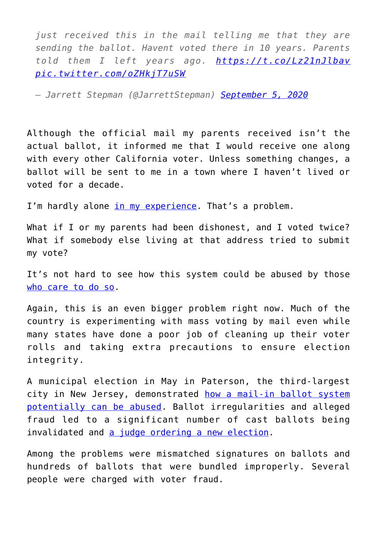*just received this in the mail telling me that they are sending the ballot. Havent voted there in 10 years. Parents told them I left years ago. <https://t.co/Lz21nJlbav> [pic.twitter.com/oZHkjT7uSW](https://t.co/oZHkjT7uSW)*

*— Jarrett Stepman (@JarrettStepman) [September 5, 2020](https://twitter.com/JarrettStepman/status/1302077774178463745?ref_src=twsrc%5Etfw)*

Although the official mail my parents received isn't the actual ballot, it informed me that I would receive one along with every other California voter. Unless something changes, a ballot will be sent to me in a town where I haven't lived or voted for a decade.

I'm hardly alone [in my experience.](https://www.wsj.com/articles/an-invitation-in-the-mail-for-election-fraud-11596385418) That's a problem.

What if I or my parents had been dishonest, and I voted twice? What if somebody else living at that address tried to submit my vote?

It's not hard to see how this system could be abused by those [who care to do so.](https://www.nationalreview.com/news/1000-georgia-voters-face-prosecution-for-casting-multiple-ballots/)

Again, this is an even bigger problem right now. Much of the country is experimenting with mass voting by mail even while many states have done a poor job of cleaning up their voter rolls and taking extra precautions to ensure election integrity.

A municipal election in May in Paterson, the third-largest city in New Jersey, demonstrated [how a mail-in ballot system](https://www.realclearpolitics.com/articles/2020/06/26/1_in_5_ballots_rejected_as_fraud_is_charged_in_nj_mail-in_election_143551.html) [potentially can be abused](https://www.realclearpolitics.com/articles/2020/06/26/1_in_5_ballots_rejected_as_fraud_is_charged_in_nj_mail-in_election_143551.html). Ballot irregularities and alleged fraud led to a significant number of cast ballots being invalidated and [a judge ordering a new election](https://www.nytimes.com/2020/08/19/nyregion/nj-election-mail-voting-fraud.html).

Among the problems were mismatched signatures on ballots and hundreds of ballots that were bundled improperly. Several people were charged with voter fraud.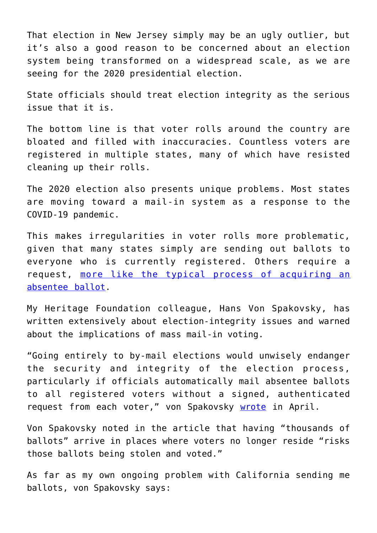That election in New Jersey simply may be an ugly outlier, but it's also a good reason to be concerned about an election system being transformed on a widespread scale, as we are seeing for the 2020 presidential election.

State officials should treat election integrity as the serious issue that it is.

The bottom line is that voter rolls around the country are bloated and filled with inaccuracies. Countless voters are registered in multiple states, many of which have resisted cleaning up their rolls.

The 2020 election also presents unique problems. Most states are moving toward a mail-in system as a response to the COVID-19 pandemic.

This makes irregularities in voter rolls more problematic, given that many states simply are sending out ballots to everyone who is currently registered. Others require a request, [more like the typical process of acquiring an](https://www.dailysignal.com/2020/06/22/8-key-points-to-distinguish-absentee-and-all-mail-voting/) [absentee ballot](https://www.dailysignal.com/2020/06/22/8-key-points-to-distinguish-absentee-and-all-mail-voting/).

My Heritage Foundation colleague, Hans Von Spakovsky, has written extensively about election-integrity issues and warned about the implications of mass mail-in voting.

"Going entirely to by-mail elections would unwisely endanger the security and integrity of the election process, particularly if officials automatically mail absentee ballots to all registered voters without a signed, authenticated request from each voter," von Spakovsky [wrote](https://www.dailysignal.com/2020/04/10/potential-for-fraud-is-why-mail-in-elections-should-be-dead-letter/) in April.

Von Spakovsky noted in the article that having "thousands of ballots" arrive in places where voters no longer reside "risks those ballots being stolen and voted."

As far as my own ongoing problem with California sending me ballots, von Spakovsky says: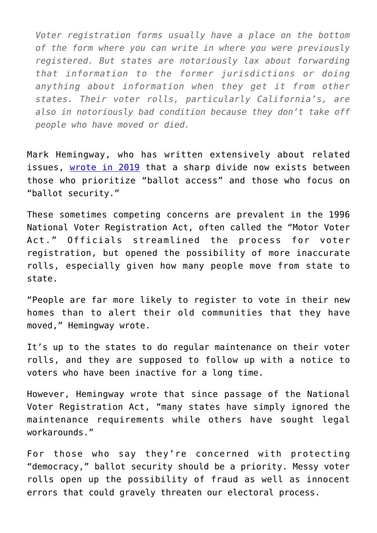*Voter registration forms usually have a place on the bottom of the form where you can write in where you were previously registered. But states are notoriously lax about forwarding that information to the former jurisdictions or doing anything about information when they get it from other states. Their voter rolls, particularly California's, are also in notoriously bad condition because they don't take off people who have moved or died.*

Mark Hemingway, who has written extensively about related issues, [wrote in 2019](https://www.realclearinvestigations.com/articles/2019/07/10/who_will_clean_up_americas_voter_rolls.html) that a sharp divide now exists between those who prioritize "ballot access" and those who focus on "ballot security."

These sometimes competing concerns are prevalent in the 1996 National Voter Registration Act, often called the "Motor Voter Act." Officials streamlined the process for voter registration, but opened the possibility of more inaccurate rolls, especially given how many people move from state to state.

"People are far more likely to register to vote in their new homes than to alert their old communities that they have moved," Hemingway wrote.

It's up to the states to do regular maintenance on their voter rolls, and they are supposed to follow up with a notice to voters who have been inactive for a long time.

However, Hemingway wrote that since passage of the National Voter Registration Act, "many states have simply ignored the maintenance requirements while others have sought legal workarounds."

For those who say they're concerned with protecting "democracy," ballot security should be a priority. Messy voter rolls open up the possibility of fraud as well as innocent errors that could gravely threaten our electoral process.